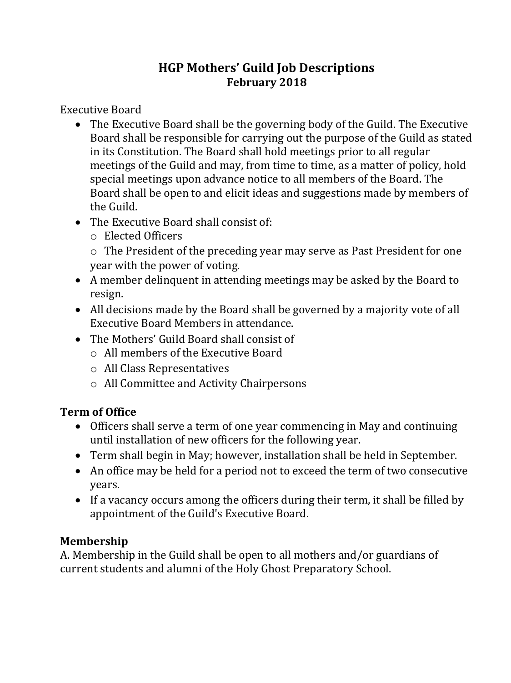## **HGP Mothers' Guild Job Descriptions February 2018**

Executive Board

- The Executive Board shall be the governing body of the Guild. The Executive Board shall be responsible for carrying out the purpose of the Guild as stated in its Constitution. The Board shall hold meetings prior to all regular meetings of the Guild and may, from time to time, as a matter of policy, hold special meetings upon advance notice to all members of the Board. The Board shall be open to and elicit ideas and suggestions made by members of the Guild.
- The Executive Board shall consist of:
	- o Elected Officers

o The President of the preceding year may serve as Past President for one year with the power of voting.

- A member delinquent in attending meetings may be asked by the Board to resign.
- All decisions made by the Board shall be governed by a majority vote of all Executive Board Members in attendance.
- The Mothers' Guild Board shall consist of
	- o All members of the Executive Board
	- o All Class Representatives
	- o All Committee and Activity Chairpersons

# **Term of Office**

- Officers shall serve a term of one year commencing in May and continuing until installation of new officers for the following year.
- Term shall begin in May; however, installation shall be held in September.
- An office may be held for a period not to exceed the term of two consecutive years.
- If a vacancy occurs among the officers during their term, it shall be filled by appointment of the Guild's Executive Board.

### **Membership**

A. Membership in the Guild shall be open to all mothers and/or guardians of current students and alumni of the Holy Ghost Preparatory School.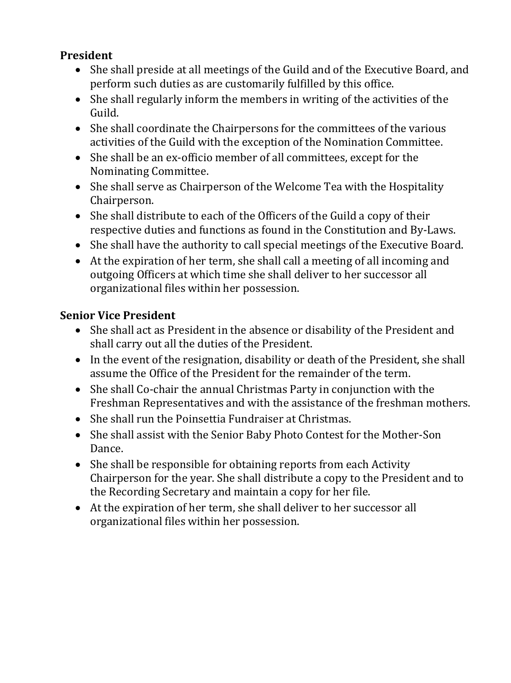#### **President**

- She shall preside at all meetings of the Guild and of the Executive Board, and perform such duties as are customarily fulfilled by this office.
- She shall regularly inform the members in writing of the activities of the Guild.
- She shall coordinate the Chairpersons for the committees of the various activities of the Guild with the exception of the Nomination Committee.
- She shall be an ex-officio member of all committees, except for the Nominating Committee.
- She shall serve as Chairperson of the Welcome Tea with the Hospitality Chairperson.
- She shall distribute to each of the Officers of the Guild a copy of their respective duties and functions as found in the Constitution and By-Laws.
- She shall have the authority to call special meetings of the Executive Board.
- At the expiration of her term, she shall call a meeting of all incoming and outgoing Officers at which time she shall deliver to her successor all organizational files within her possession.

### **Senior Vice President**

- She shall act as President in the absence or disability of the President and shall carry out all the duties of the President.
- In the event of the resignation, disability or death of the President, she shall assume the Office of the President for the remainder of the term.
- She shall Co-chair the annual Christmas Party in conjunction with the Freshman Representatives and with the assistance of the freshman mothers.
- She shall run the Poinsettia Fundraiser at Christmas.
- She shall assist with the Senior Baby Photo Contest for the Mother-Son Dance.
- She shall be responsible for obtaining reports from each Activity Chairperson for the year. She shall distribute a copy to the President and to the Recording Secretary and maintain a copy for her file.
- At the expiration of her term, she shall deliver to her successor all organizational files within her possession.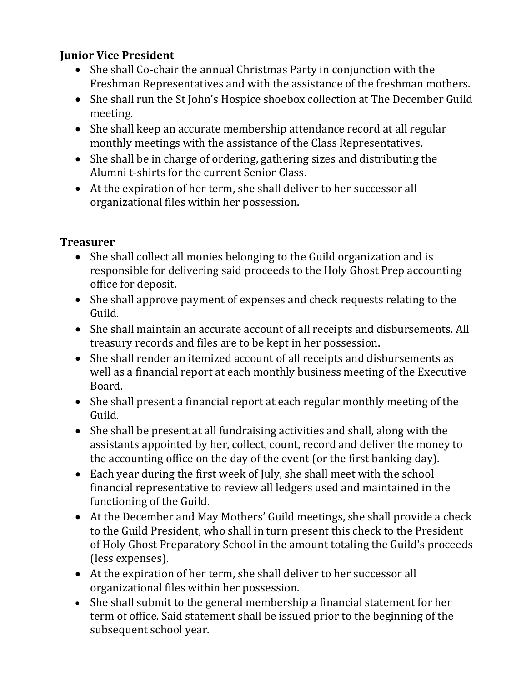#### **Junior Vice President**

- She shall Co-chair the annual Christmas Party in conjunction with the Freshman Representatives and with the assistance of the freshman mothers.
- She shall run the St John's Hospice shoebox collection at The December Guild meeting.
- She shall keep an accurate membership attendance record at all regular monthly meetings with the assistance of the Class Representatives.
- She shall be in charge of ordering, gathering sizes and distributing the Alumni t-shirts for the current Senior Class.
- At the expiration of her term, she shall deliver to her successor all organizational files within her possession.

#### **Treasurer**

- She shall collect all monies belonging to the Guild organization and is responsible for delivering said proceeds to the Holy Ghost Prep accounting office for deposit.
- She shall approve payment of expenses and check requests relating to the Guild.
- She shall maintain an accurate account of all receipts and disbursements. All treasury records and files are to be kept in her possession.
- She shall render an itemized account of all receipts and disbursements as well as a financial report at each monthly business meeting of the Executive Board.
- She shall present a financial report at each regular monthly meeting of the Guild.
- She shall be present at all fundraising activities and shall, along with the assistants appointed by her, collect, count, record and deliver the money to the accounting office on the day of the event (or the first banking day).
- Each year during the first week of July, she shall meet with the school financial representative to review all ledgers used and maintained in the functioning of the Guild.
- At the December and May Mothers' Guild meetings, she shall provide a check to the Guild President, who shall in turn present this check to the President of Holy Ghost Preparatory School in the amount totaling the Guild's proceeds (less expenses).
- At the expiration of her term, she shall deliver to her successor all organizational files within her possession.
- She shall submit to the general membership a financial statement for her term of office. Said statement shall be issued prior to the beginning of the subsequent school year.